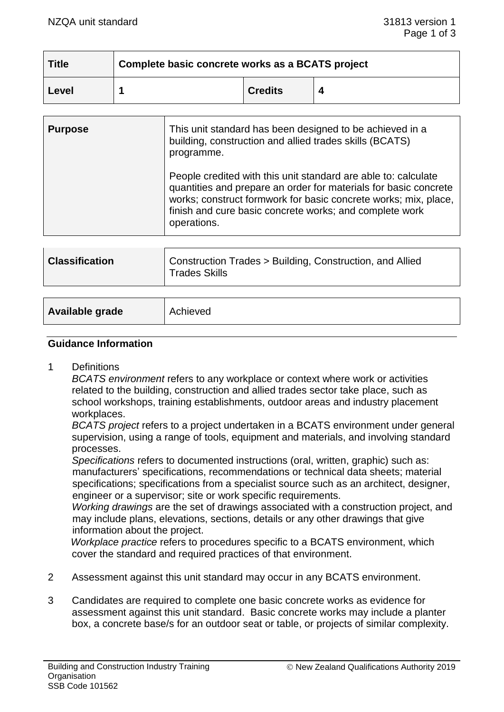| <b>Title</b> | Complete basic concrete works as a BCATS project |                |  |
|--------------|--------------------------------------------------|----------------|--|
| Level        |                                                  | <b>Credits</b> |  |

| <b>Purpose</b> | This unit standard has been designed to be achieved in a<br>building, construction and allied trades skills (BCATS)<br>programme.                                                                                                                                               |
|----------------|---------------------------------------------------------------------------------------------------------------------------------------------------------------------------------------------------------------------------------------------------------------------------------|
|                | People credited with this unit standard are able to: calculate<br>quantities and prepare an order for materials for basic concrete<br>works; construct formwork for basic concrete works; mix, place,<br>finish and cure basic concrete works; and complete work<br>operations. |

| <b>Classification</b> | Construction Trades > Building, Construction, and Allied |
|-----------------------|----------------------------------------------------------|
|                       | <sup>1</sup> Trades Skills                               |

| Available grade | Achieved |
|-----------------|----------|
|                 |          |

### **Guidance Information**

1 Definitions

*BCATS environment* refers to any workplace or context where work or activities related to the building, construction and allied trades sector take place, such as school workshops, training establishments, outdoor areas and industry placement workplaces.

*BCATS project* refers to a project undertaken in a BCATS environment under general supervision, using a range of tools, equipment and materials, and involving standard processes.

*Specifications* refers to documented instructions (oral, written, graphic) such as: manufacturers' specifications, recommendations or technical data sheets; material specifications; specifications from a specialist source such as an architect, designer, engineer or a supervisor; site or work specific requirements.

*Working drawings* are the set of drawings associated with a construction project, and may include plans, elevations, sections, details or any other drawings that give information about the project.

*Workplace practice* refers to procedures specific to a BCATS environment, which cover the standard and required practices of that environment.

- 2 Assessment against this unit standard may occur in any BCATS environment.
- 3 Candidates are required to complete one basic concrete works as evidence for assessment against this unit standard. Basic concrete works may include a planter box, a concrete base/s for an outdoor seat or table, or projects of similar complexity.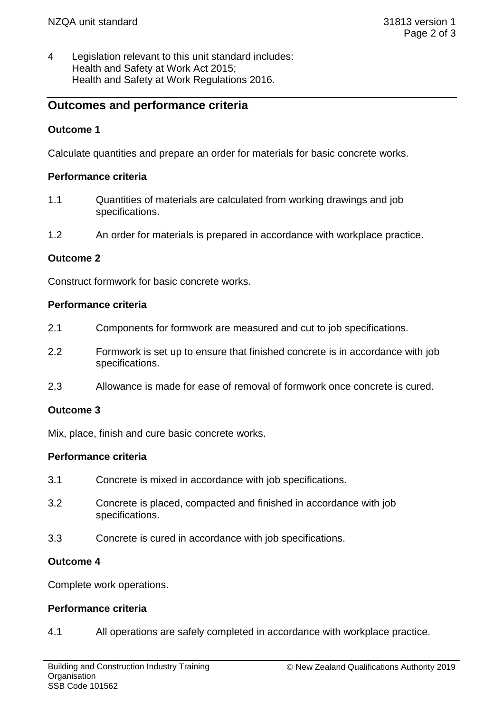4 Legislation relevant to this unit standard includes: Health and Safety at Work Act 2015; Health and Safety at Work Regulations 2016.

# **Outcomes and performance criteria**

# **Outcome 1**

Calculate quantities and prepare an order for materials for basic concrete works.

#### **Performance criteria**

- 1.1 Quantities of materials are calculated from working drawings and job specifications.
- 1.2 An order for materials is prepared in accordance with workplace practice.

### **Outcome 2**

Construct formwork for basic concrete works.

#### **Performance criteria**

- 2.1 Components for formwork are measured and cut to job specifications.
- 2.2 Formwork is set up to ensure that finished concrete is in accordance with job specifications.
- 2.3 Allowance is made for ease of removal of formwork once concrete is cured.

# **Outcome 3**

Mix, place, finish and cure basic concrete works.

#### **Performance criteria**

- 3.1 Concrete is mixed in accordance with job specifications.
- 3.2 Concrete is placed, compacted and finished in accordance with job specifications.
- 3.3 Concrete is cured in accordance with job specifications.

# **Outcome 4**

Complete work operations.

# **Performance criteria**

4.1 All operations are safely completed in accordance with workplace practice.